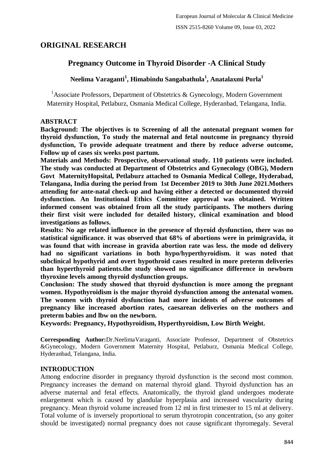# **ORIGINAL RESEARCH**

# **Pregnancy Outcome in Thyroid Disorder -A Clinical Study**

# **Neelima Varaganti<sup>1</sup> , Himabindu Sangabathula<sup>1</sup> , Anatalaxmi Porla<sup>1</sup>**

<sup>1</sup>Associate Professors, Department of Obstetrics & Gynecology, Modern Government Maternity Hospital, Petlaburz, Osmania Medical College, Hyderanbad, Telangana, India.

### **ABSTRACT**

**Background: The objectives is to Screening of all the antenatal pregnant women for thyroid dysfunction, To study the maternal and fetal noutcome in pregnancy thyroid dysfunction, To provide adequate treatment and there by reduce adverse outcome, Follow up of cases six weeks post partum.**

**Materials and Methods: Prospective, observational study. 110 patients were included. The study was conducted at Department of Obstetrics and Gynecology (OBG), Modern Govt MaternityHopsital, Petlaburz attached to Osmania Medical College, Hyderabad, Telangana, India during the period from 1st December 2019 to 30th June 2021.Mothers attending for ante-natal check-up and having either a detected or documented thyroid dysfunction. An Institutional Ethics Committee approval was obtained. Written informed consent was obtained from all the study participants. The mothers during their first visit were included for detailed history, clinical examination and blood investigations as follows.**

**Results: No age related influence in the presence of thyroid dysfunction, there was no statistical significance. it was observed that 68% of abortions were in primigravida, it was found that with increase in gravida abortion rate was less. the mode od delivery had no significant variations in both hypo/hyperthyroidism. it was noted that subclinical hypothyrid and overt hypothroid cases resulted in more preterm deliveries than hyperthyroid patients.the study showed no significance difference in newborn thyroxine levels among thyroid dysfunction groups.**

**Conclusion: The study showed that thyroid dysfunction is more among the pregnant women. Hypothyroidism is the major thyroid dysfunction among the antenatal women. The women with thyroid dysfunction had more incidents of adverse outcomes of pregnancy like increased abortion rates, caesarean deliveries on the mothers and preterm babies and lbw on the newborn.**

**Keywords: Pregnancy, Hypothyroidism, Hyperthyroidism, Low Birth Weight.**

**Corresponding Author:**Dr.NeelimaVaraganti, Associate Professor, Department of Obstetrics &Gynecology, Modern Government Maternity Hospital, Petlaburz, Osmania Medical College, Hyderanbad, Telangana, India.

# **INTRODUCTION**

Among endocrine disorder in pregnancy thyroid dysfunction is the second most common. Pregnancy increases the demand on maternal thyroid gland. Thyroid dysfunction has an adverse maternal and fetal effects. Anatomically, the thyroid gland undergoes moderate enlargement which is caused by glandular hyperplasia and increased vascularity during pregnancy. Mean thyroid volume increased from 12 ml in first trimester to 15 ml at delivery. Total volume of is inversely proportional to serum thyrotropin concentration, (so any goiter should be investigated) normal pregnancy does not cause significant thyromegaly. Several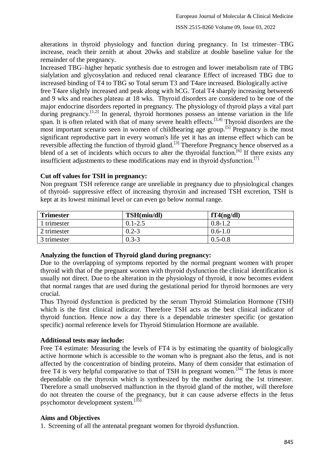alterations in thyroid physiology and function during pregnancy. In 1st trimester–TBG increase, reach their zenith at about 20wks and stabilize at double baseline value for the remainder of the pregnancy.

Increased TBG–higher hepatic synthesis due to estrogen and lower metabolism rate of TBG sialylation and glycosylation and reduced renal clearance Effect of increased TBG due to increased binding of T4 to TBG so Total serum T3 and T4are increased. Biologically active free T4are slightly increased and peak along with hCG. Total T4 sharply increasing between6 and 9 wks and reaches plateau at 18 wks. Thyroid disorders are considered to be one of the major endocrine disorders reported in pregnancy. The physiology of thyroid plays a vital part during pregnancy.<sup>[1,2]</sup> In general, thyroid hormones possess an intense variation in the life span. It is often related with that of many severe health effects.<sup>[3,4]</sup> Thyroid disorders are the most important scenario seen in women of childbearing age group.<sup>[5]</sup> Pregnancy is the most significant reproductive part in every woman's life yet it has an intense effect which can be reversible affecting the function of thyroid gland.<sup>[3]</sup> Therefore Pregnancy hence observed as a blend of a set of incidents which occurs to alter the thyroidal function.<sup>[6]</sup> If there exists any insufficient adjustments to these modifications may end in thyroid dysfunction.<sup>[7]</sup>

### **Cut off values for TSH in pregnancy:**

Non pregnant TSH reference range are unreliable in pregnancy due to physiological changes of thyroid- suppressive effect of increasing thyroxin and increased TSH excretion, TSH is kept at its lowest minimal level or can even go below normal range.

| <b>Trimester</b> | TSH(miu/dl) | fT4(ng/dl)  |
|------------------|-------------|-------------|
| 1 trimester      | $0.1 - 2.5$ | $0.8 - 1.2$ |
| 2 trimester      | $0.2 - 3$   | $0.6 - 1.0$ |
| 3 trimester      | $0.3 - 3$   | $0.5 - 0.8$ |

# **Analyzing the function of Thyroid gland during pregnancy:**

Due to the overlapping of symptoms reported by the normal pregnant women with proper thyroid with that of the pregnant women with thyroid dysfunction the clinical identification is usually not direct. Due to the alteration in the physiology of thyroid, it now becomes evident that normal ranges that are used during the gestational period for thyroid hormones are very crucial.

Thus Thyroid dysfunction is predicted by the serum Thyroid Stimulation Hormone (TSH) which is the first clinical indicator. Therefore TSH acts as the best clinical indicator of thyroid function. Hence now a day there is a dependable trimester specific (or gestation specific) normal reference levels for Thyroid Stimulation Hormone are available.

# **Additional tests may include:**

Free T4 estimate: Measuring the levels of FT4 is by estimating the quantity of biologically active hormone which is accessible to the woman who is pregnant also the fetus, and is not affected by the concentration of binding proteins. Many of them consider that estimation of free T4 is very helpful comparative to that of TSH in pregnant women.<sup>[34]</sup> The fetus is more dependable on the thyroxin which is synthesized by the mother during the 1st trimester. Therefore a small unobserved malfunction in the thyroid gland of the mother, will therefore do not threaten the course of the pregnancy, but it can cause adverse effects in the fetus psychomotor development system.<sup>[35]</sup>

# **Aims and Objectives**

1. Screening of all the antenatal pregnant women for thyroid dysfunction.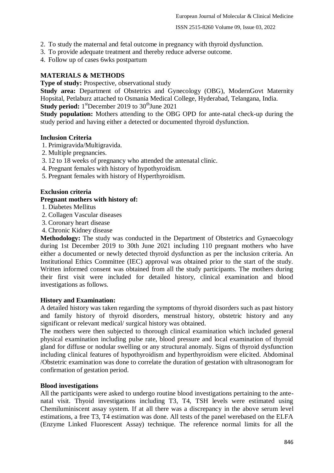2. To study the maternal and fetal outcome in pregnancy with thyroid dysfunction.

3. To provide adequate treatment and thereby reduce adverse outcome.

4. Follow up of cases 6wks postpartum

### **MATERIALS & METHODS**

**Type of study:** Prospective, observational study

**Study area:** Department of Obstetrics and Gynecology (OBG), ModernGovt Maternity Hopsital, Petlaburz attached to Osmania Medical College, Hyderabad, Telangana, India. **Study period:** 1<sup>st</sup>December 2019 to 30<sup>th</sup>June 2021

**Study population:** Mothers attending to the OBG OPD for ante-natal check-up during the study period and having either a detected or documented thyroid dysfunction.

#### **Inclusion Criteria**

- 1. Primigravida/Multigravida.
- 2. Multiple pregnancies.
- 3. 12 to 18 weeks of pregnancy who attended the antenatal clinic.
- 4. Pregnant females with history of hypothyroidism.
- 5. Pregnant females with history of Hyperthyroidism.

#### **Exclusion criteria**

#### **Pregnant mothers with history of:**

- 1. Diabetes Mellitus
- 2. Collagen Vascular diseases
- 3. Coronary heart disease
- 4. Chronic Kidney disease

**Methodology:** The study was conducted in the Department of Obstetrics and Gynaecology during 1st December 2019 to 30th June 2021 including 110 pregnant mothers who have either a documented or newly detected thyroid dysfunction as per the inclusion criteria. An Institutional Ethics Committee (IEC) approval was obtained prior to the start of the study. Written informed consent was obtained from all the study participants. The mothers during their first visit were included for detailed history, clinical examination and blood investigations as follows.

#### **History and Examination:**

A detailed history was taken regarding the symptoms of thyroid disorders such as past history and family history of thyroid disorders, menstrual history, obstetric history and any significant or relevant medical/ surgical history was obtained.

The mothers were then subjected to thorough clinical examination which included general physical examination including pulse rate, blood pressure and local examination of thyroid gland for diffuse or nodular swelling or any structural anomaly. Signs of thyroid dysfunction including clinical features of hypothyroidism and hyperthyroidism were elicited. Abdominal /Obstetric examination was done to correlate the duration of gestation with ultrasonogram for confirmation of gestation period.

#### **Blood investigations**

All the participants were asked to undergo routine blood investigations pertaining to the antenatal visit. Thyoid investigations including T3, T4, TSH levels were estimated using Chemiluminiscent assay system. If at all there was a discrepancy in the above serum level estimations, a free T3, T4 estimation was done. All tests of the panel werebased on the ELFA (Enzyme Linked Fluorescent Assay) technique. The reference normal limits for all the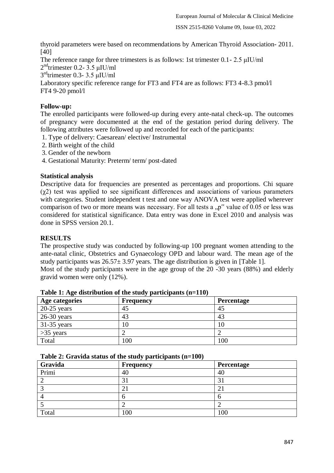thyroid parameters were based on recommendations by American Thyroid Association- 2011. [40]

The reference range for three trimesters is as follows: 1st trimester 0.1 - 2.5  $\mu$ IU/ml

 $2<sup>nd</sup>$ trimester 0.2- 3.5 µIU/ml

3 rdtrimester 0.3- 3.5 μIU/ml

Laboratory specific reference range for FT3 and FT4 are as follows: FT3 4-8.3 pmol/l FT4 9-20 pmol/l

### **Follow-up:**

The enrolled participants were followed-up during every ante-natal check-up. The outcomes of pregnancy were documented at the end of the gestation period during delivery. The following attributes were followed up and recorded for each of the participants:

- 1. Type of delivery: Caesarean/ elective/ Instrumental
- 2. Birth weight of the child
- 3. Gender of the newborn
- 4. Gestational Maturity: Preterm/ term/ post-dated

### **Statistical analysis**

Descriptive data for frequencies are presented as percentages and proportions. Chi square (χ2) test was applied to see significant differences and associations of various parameters with categories. Student independent t test and one way ANOVA test were applied wherever comparison of two or more means was necessary. For all tests a  $p''$  value of 0.05 or less was considered for statistical significance. Data entry was done in Excel 2010 and analysis was done in SPSS version 20.1.

### **RESULTS**

The prospective study was conducted by following-up 100 pregnant women attending to the ante-natal clinic, Obstetrics and Gynaecology OPD and labour ward. The mean age of the study participants was  $26.57 \pm 3.97$  years. The age distribution is given in [Table 1].

Most of the study participants were in the age group of the 20 -30 years (88%) and elderly gravid women were only (12%).

| Age categories | <b>Frequency</b> | <b>Percentage</b> |
|----------------|------------------|-------------------|
| $20-25$ years  | 45               | 45                |
| $26-30$ years  | 43               | 43                |
| $31-35$ years  | 10               | 10                |
| $>35$ years    |                  |                   |
| Total          | 100              | 100               |

### **Table 1: Age distribution of the study participants (n=110)**

#### **Table 2: Gravida status of the study participants (n=100)**

| Gravida | Frequency | Percentage       |
|---------|-----------|------------------|
| Primi   | 40        | 40               |
|         | ◠         | $\mathfrak{I}$ . |
| ⌒       |           | ∠.               |
|         |           | O                |
|         |           |                  |
| Total   | 100       | 100              |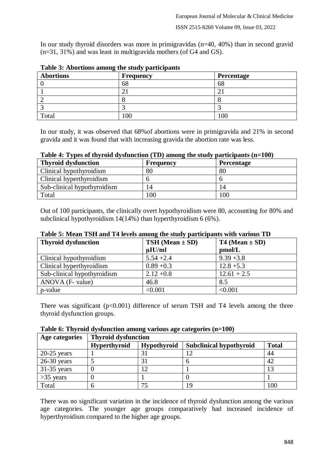In our study thyroid disorders was more in primigravidas (n=40, 40%) than in second gravid (n=31, 31%) and was least in multigravida mothers (of G4 and GS).

| <b>Abortions</b> | Frequency | Percentage |
|------------------|-----------|------------|
|                  | 68        | 68         |
|                  |           | ∠          |
|                  |           |            |
|                  |           |            |
| Total            | 00        |            |

**Table 3: Abortions among the study participants**

In our study, it was observed that 68%of abortions were in primigravida and 21% in second gravida and it was found that with increasing gravida the abortion rate was less.

|  |  |  | Table 4: Types of thyroid dysfunction (TD) among the study participants (n=100) |  |
|--|--|--|---------------------------------------------------------------------------------|--|
|  |  |  |                                                                                 |  |

| <b>Thyroid dysfunction</b>  | <b>Frequency</b> | <b>Percentage</b> |
|-----------------------------|------------------|-------------------|
| Clinical hypothyroidism     | 80               | 80                |
| Clinical hyperthyroidism    |                  |                   |
| Sub-clinical hypothyroidism | $\overline{4}$   | 14                |
| Total                       | 100              | 100               |

Out of 100 participants, the clinically overt hypothyroidism were 80, accounting for 80% and subclinical hypothyroidism 14(14%) than hyperthyroidism 6 (6%).

| Table 5: Mean TSH and T4 levels among the study participants with various TD |  |  |  |
|------------------------------------------------------------------------------|--|--|--|
|                                                                              |  |  |  |

| <b>Thyroid dysfunction</b>  | <b>TSH</b> (Mean $\pm$ SD) | T4 (Mean $\pm$ SD) |
|-----------------------------|----------------------------|--------------------|
|                             | $\mu$ IU/ml                | pmol/L             |
| Clinical hypothyroidism     | $5.54 + 2.4$               | $9.39 + 3.8$       |
| Clinical hyperthyroidism    | $0.89 + 0.3$               | $12.8 + 5.3$       |
| Sub-clinical hypothyroidism | $2.12 + 0.8$               | $12.61 + 2.5$      |
| ANOVA (F- value)            | 46.8                       | 8.5                |
| p-value                     | < 0.001                    | < 0.001            |

There was significant  $(p<0.001)$  difference of serum TSH and T4 levels among the three thyroid dysfunction groups.

**Table 6: Thyroid dysfunction among various age categories (n=100)**

| Age categories | <b>Thyroid dysfunction</b> |                    |                                |              |  |  |  |
|----------------|----------------------------|--------------------|--------------------------------|--------------|--|--|--|
|                | <b>Hyperthyroid</b>        | <b>Hypothyroid</b> | <b>Subclinical hypothyroid</b> | <b>Total</b> |  |  |  |
| $20-25$ years  |                            | 31                 | 12                             | 44           |  |  |  |
| $26-30$ years  |                            | 31                 |                                | 42           |  |  |  |
| $31-35$ years  |                            |                    |                                |              |  |  |  |
| $>35$ years    |                            |                    |                                |              |  |  |  |
| Total          |                            | 75                 | 19                             | 100          |  |  |  |

There was no significant variation in the incidence of thyroid dysfunction among the various age categories. The younger age groups comparatively had increased incidence of hyperthyroidism compared to the higher age groups.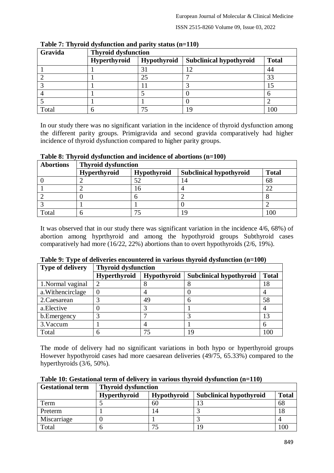| Gravida | <b>Thyroid dysfunction</b> |             |                                |              |  |  |
|---------|----------------------------|-------------|--------------------------------|--------------|--|--|
|         | Hyperthyroid               | Hypothyroid | <b>Subclinical hypothyroid</b> | <b>Total</b> |  |  |
|         |                            | 31          | 12                             | 44           |  |  |
|         |                            | 25          |                                |              |  |  |
|         |                            |             |                                |              |  |  |
|         |                            |             |                                |              |  |  |
|         |                            |             |                                |              |  |  |
| Total   |                            |             | q                              | 100          |  |  |

**Table 7: Thyroid dysfunction and parity status (n=110)**

In our study there was no significant variation in the incidence of thyroid dysfunction among the different parity groups. Primigravida and second gravida comparatively had higher incidence of thyroid dysfunction compared to higher parity groups.

**Table 8: Thyroid dysfunction and incidence of abortions (n=100)**

| <b>Abortions</b> | <b>Thyroid dysfunction</b> |             |                                |              |  |  |
|------------------|----------------------------|-------------|--------------------------------|--------------|--|--|
|                  | <b>Hyperthyroid</b>        | Hypothyroid | <b>Subclinical hypothyroid</b> | <b>Total</b> |  |  |
|                  |                            |             | 14                             | 68           |  |  |
|                  |                            | 16          |                                |              |  |  |
|                  |                            |             |                                |              |  |  |
|                  |                            |             |                                |              |  |  |
| Total            |                            |             | 1 C                            |              |  |  |

It was observed that in our study there was significant variation in the incidence 4/6, 68%) of abortion among hyprthyroid and among the hypothyroid groups Subthyroid cases comparatively had more (16/22, 22%) abortions than to overt hypothyroids (2/6, 19%).

| <b>Type of delivery</b> | <b>Thyroid dysfunction</b> |             |                                |              |  |  |
|-------------------------|----------------------------|-------------|--------------------------------|--------------|--|--|
|                         | <b>Hyperthyroid</b>        | Hypothyroid | <b>Subclinical hypothyroid</b> | <b>Total</b> |  |  |
| 1. Normal vaginal       | $\overline{2}$             |             |                                | 18           |  |  |
| a. Withencirclage       | $\theta$                   |             |                                |              |  |  |
| 2. Caesarean            | 3                          | 49          | n                              | 58           |  |  |
| a. Elective             | ( )                        |             |                                |              |  |  |
| b. Emergency            |                            |             |                                | 13           |  |  |
| 3. Vaccum               |                            |             |                                |              |  |  |
| Total                   | 6                          | 75          | 19                             | 100          |  |  |

| Table 9: Type of deliveries encountered in various thyroid dysfunction (n=100) |  |  |
|--------------------------------------------------------------------------------|--|--|
|                                                                                |  |  |

The mode of delivery had no significant variations in both hypo or hyperthyroid groups However hypothyroid cases had more caesarean deliveries (49/75, 65.33%) compared to the hyperthyroids (3/6, 50%).

| <b>Gestational term</b> | <b>Thyroid dysfunction</b> |                    |                                |              |
|-------------------------|----------------------------|--------------------|--------------------------------|--------------|
|                         | <b>Hyperthyroid</b>        | <b>Hypothyroid</b> | <b>Subclinical hypothyroid</b> | <b>Total</b> |
| Term                    |                            | 60                 |                                | 68           |
| Preterm                 |                            | 14                 |                                | 18           |
| Miscarriage             |                            |                    |                                |              |
| Total                   |                            | $\tau$             | 1 Q                            | 100          |

**Table 10: Gestational term of delivery in various thyroid dysfunction (n=110)**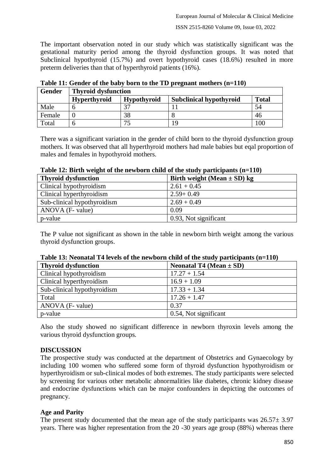The important observation noted in our study which was statistically significant was the gestational maturity period among the thyroid dysfunction groups. It was noted that Subclinical hypothyroid (15.7%) and overt hypothyroid cases (18.6%) resulted in more preterm deliveries than that of hyperthyroid patients (16%).

| <b>Gender</b> | <b>Thyroid dysfunction</b> |                    |                                |              |
|---------------|----------------------------|--------------------|--------------------------------|--------------|
|               | <b>Hyperthyroid</b>        | <b>Hypothyroid</b> | <b>Subclinical hypothyroid</b> | <b>Total</b> |
| Male          |                            |                    |                                | 54           |
| Female        |                            | 38                 |                                | 46           |
| Total         |                            | 75                 | 19                             | 100          |

**Table 11: Gender of the baby born to the TD pregnant mothers (n=110)**

There was a significant variation in the gender of child born to the thyroid dysfunction group mothers. It was observed that all hyperthyroid mothers had male babies but eqal proportion of males and females in hypothyroid mothers.

| Table 12. Birth weight of the newborn child of the study participants (n–110) |                                 |  |
|-------------------------------------------------------------------------------|---------------------------------|--|
| <b>Thyroid dysfunction</b>                                                    | Birth weight (Mean $\pm$ SD) kg |  |
| Clinical hypothyroidism                                                       | $2.61 + 0.45$                   |  |
| Clinical hyperthyroidism                                                      | $2.59 + 0.49$                   |  |
| Sub-clinical hypothyroidism                                                   | $2.69 + 0.49$                   |  |
| $ANOVA$ (F- value)                                                            | 0.09                            |  |
| p-value                                                                       | 0.93, Not significant           |  |

**Table 12: Birth weight of the newborn child of the study participants (n=110)**

The P value not significant as shown in the table in newborn birth weight among the various thyroid dysfunction groups.

| Twore IV, Frequence I Fig. (In the Heaven Deliver Chine of the beau) participation (if $\Delta T_{\rm{UV}}$ |                             |  |
|-------------------------------------------------------------------------------------------------------------|-----------------------------|--|
| <b>Thyroid dysfunction</b>                                                                                  | Neonatal T4 (Mean $\pm$ SD) |  |
| Clinical hypothyroidism                                                                                     | $17.27 + 1.54$              |  |
| Clinical hyperthyroidism                                                                                    | $16.9 + 1.09$               |  |
| Sub-clinical hypothyroidism                                                                                 | $17.33 + 1.34$              |  |
| Total                                                                                                       | $17.26 + 1.47$              |  |
| $ANOVA$ (F- value)                                                                                          | 0.37                        |  |
| p-value                                                                                                     | 0.54, Not significant       |  |

### **Table 13: Neonatal T4 levels of the newborn child of the study participants (n=110)**

Also the study showed no significant difference in newborn thyroxin levels among the various thyroid dysfunction groups.

# **DISCUSSION**

The prospective study was conducted at the department of Obstetrics and Gynaecology by including 100 women who suffered some form of thyroid dysfunction hypothyroidism or hyperthyroidism or sub-clinical modes of both extremes. The study participants were selected by screening for various other metabolic abnormalities like diabetes, chronic kidney disease and endocrine dysfunctions which can be major confounders in depicting the outcomes of pregnancy.

# **Age and Parity**

The present study documented that the mean age of the study participants was  $26.57 \pm 3.97$ years. There was higher representation from the 20 -30 years age group (88%) whereas there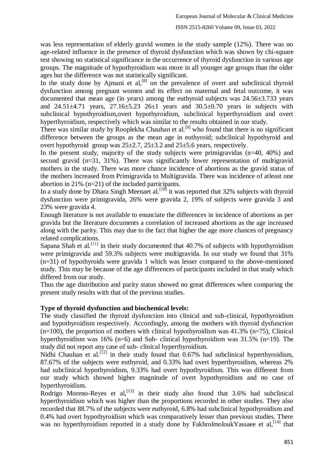was less representation of elderly gravid women in the study sample (12%). There was no age-related influence in the presence of thyroid dysfunction which was shown by chi-square test showing no statistical significance in the occurrence of thyroid dysfunction in various age groups. The magnitude of hypothyroidism was more in all younger age groups than the older ages but the difference was not statistically significant.

In the study done by Ajmani et  $al$ ,  $[8]$  on the prevalence of overt and subclinical thyroid dysfunction among pregnant women and its effect on maternal and fetal outcome, it was documented that mean age (in years) among the euthyroid subjects was 24.56±3.733 years and  $24.51 \pm 4.71$  years,  $27.16 \pm 5.23$   $26 \pm 1$  years and  $30.5 \pm 0.70$  years in subjects with subclinical hypothyroidism,overt hypothyroidism, subclinical hyperthyroidism and overt hyperthyroidism, respectively which was similar to the results obtained in our study.

There was similar study by Rooplekha Chauhan et al.<sup>[9]</sup> who found that there is no significant difference between the groups as the mean age in euthyroid; subclinical hypothyroid and overt hypothyroid group was  $25\pm 2.7$ ,  $25\pm 3.2$  and  $25\pm 5.6$  years, respectively.

In the present study, majority of the study subjects were primigravidas (n=40, 40%) and second gravid (n=31, 31%). There was significantly lower representation of multigravid mothers in the study. There was more chance incidence of abortions as the gravid status of the mothers increased from Primigravida to Multigravida. There was incidence of atleast one abortion in 21% (n=21) of the included participants.

In a study done by Dhara Singh Meenaet al.<sup>[10]</sup> it was reported that 32% subjects with thyroid dysfunction were primigravida, 26% were gravida 2, 19% of subjects were gravida 3 and 23% were gravida 4.

Enough literature is not available to enunciate the differences in incidence of abortions as per gravida but the literature documents a correlation of increased abortions as the age increased along with the parity. This may due to the fact that higher the age more chances of pregnancy related complications.

Sapana Shah et al.<sup>[11]</sup> in their study documented that  $40.7\%$  of subjects with hypothyroidism were primigravida and 59.3% subjects were multigravida. In our study we found that 31% (n=31) of hypothyroids were gravida 1 which was lesser compared to the above-mentioned study. This may be because of the age differences of participants included in that study which differed from our study.

Thus the age distribution and parity status showed no great differences when comparing the present study results with that of the previous studies.

# **Type of thyroid dysfunction and biochemical levels:**

The study classified the thyroid dysfunction into clinical and sub-clinical, hypothyroidism and hypothyroidism respectively. Accordingly, among the mothers with thyroid dysfunction  $(n=100)$ , the proportion of mothers with clinical hypothyroidism was 41.3%  $(n=75)$ , Clinical hyperthyroidism was 16% (n=6) and Sub- clinical hypothyroidism was 31.5% (n=19). The study did not report any case of sub- clinical hyperthyroidism.

Nidhi Chauhan et al.<sup>[12]</sup> in their study found that  $0.67\%$  had subclinical hyperthyroidism, 87.67% of the subjects were euthyroid, and 0.33% had overt hyperthyroidism, whereas 2% had subclinical hypothyroidism, 9.33% had overt hypothyroidism. This was different from our study which showed higher magnitude of overt hypothyroidism and no case of hyperthyroidism.

Rodrigo Moreno-Reyes et al,<sup>[13]</sup> in their study also found that 3.6% had subclinical hyperthyroidism which was higher than the proportions recorded in other studies. They also recorded that 88.7% of the subjects were euthyroid, 6.8% had subclinical hypothyroidism and 0.4% had overt hypothyroidism which was comparatively lesser than previous studies. There was no hyperthyroidism reported in a study done by FakhrolmoloukYassaee et al,<sup>[14]</sup> that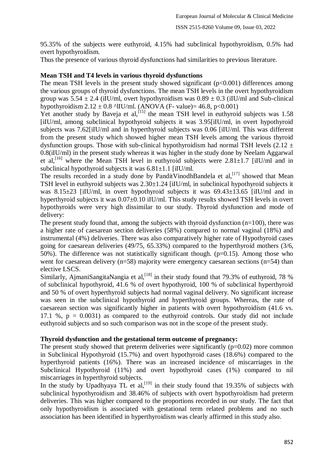95.35% of the subjects were euthyroid, 4.15% had subclinical hypothyroidism, 0.5% had overt hypothyroidism.

Thus the presence of various thyroid dysfunctions had similarities to previous literature.

# **Mean TSH and T4 levels in various thyroid dysfunctions**

The mean TSH levels in the present study showed significant  $(p<0.001)$  differences among the various groups of thyroid dysfunctions. The mean TSH levels in the overt hypothyroidism group was  $5.54 \pm 2.4$  (iIU/ml, overt hypothyroidism was  $0.89 \pm 0.3$  (iIU/ml and Sub-clinical hypothyroidism  $2.12 \pm 0.8$  ^lIU/ml. (ANOVA (F- value)= 46.8, p<0.001)

Yet another study by Baveja et al,  $[15]$  the mean TSH level in euthyroid subjects was 1.58 [iIU/ml, among subclinical hypothyroid subjects it was 3.95[iIU/ml, in overt hypothyroid subjects was 7.62[iIU/ml and in hyperthyroid subjects was 0.06 [iIU/ml. This was different from the present study which showed higher mean TSH levels among the various thyroid dysfunction groups. Those with sub-clinical hypothyroidism had normal TSH levels  $(2.12 \pm 1.00)$ 0.8(iIU/ml) in the present study whereas it was higher in the study done by Neelam Aggarwal et al,<sup>[16]</sup> where the Mean TSH level in euthyroid subjects were  $2.81 \pm 1.7$  [iIU/ml and in subclinical hypothyroid subjects it was  $6.81 \pm 1.1$  [iIU/ml.

The results recorded in a study done by PanditVinodhBandela et al,<sup>[17]</sup> showed that Mean TSH level in euthyroid subjects was  $2.30\pm1.24$  [iIU/ml, in subclinical hypothyroid subjects it was 8.15 $\pm$ 23 [iIU/ml, in overt hypothyroid subjects it was 69.43 $\pm$ 13.65 [iIU/ml and in hyperthyroid subjects it was  $0.07\pm0.10$  iIU/ml. This study results showed TSH levels in overt hypothyroids were very high dissimilar to our study. Thyroid dysfunction and mode of delivery:

The present study found that, among the subjects with thyroid dysfunction  $(n=100)$ , there was a higher rate of caesarean section deliveries (58%) compared to normal vaginal (18%) and instrumental (4%) deliveries. There was also comparatively higher rate of Hypothyroid cases going for caesarean deliveries (49/75, 65.33%) compared to the hyperthyroid mothers (3/6, 50%). The difference was not statistically significant though. ( $p=0.15$ ). Among those who went for caesarean delivery ( $n=58$ ) majority were emergency caesarean sections ( $n=54$ ) than elective LSCS.

Similarly, AjmaniSangitaNangia et al, [18] in their study found that 79.3% of euthyroid, 78 % of subclinical hypothyroid, 41.6 % of overt hypothyroid, 100 % of subclinical hyperthyroid and 50 % of overt hyperthyroid subjects had normal vaginal delivery. No significant increase was seen in the subclinical hypothyroid and hyperthyroid groups. Whereas, the rate of caesarean section was significantly higher in patients with overt hypothyroidism (41.6 vs. 17.1 %,  $p = 0.0031$ ) as compared to the euthyroid controls. Our study did not include euthyroid subjects and so such comparison was not in the scope of the present study.

# **Thyroid dysfunction and the gestational term outcome of pregnancy:**

The present study showed that preterm deliveries were significantly  $(p=0.02)$  more common in Subclinical Hypothyroid (15.7%) and overt hypothyroid cases (18.6%) compared to the hyperthyroid patients (16%). There was an increased incidence of miscarriages in the Subclinical Hypothyroid (11%) and overt hypothyroid cases (1%) compared to nil miscarriages in hyperthyroid subjects.

In the study by Upadhyaya TL et al,  $[19]$  in their study found that 19.35% of subjects with subclinical hypothyroidism and 38.46% of subjects with overt hypothyroidism had preterm deliveries. This was higher compared to the proportions recorded in our study. The fact that only hypothyroidism is associated with gestational term related problems and no such association has been identified in hyperthyroidism was clearly affirmed in this study also.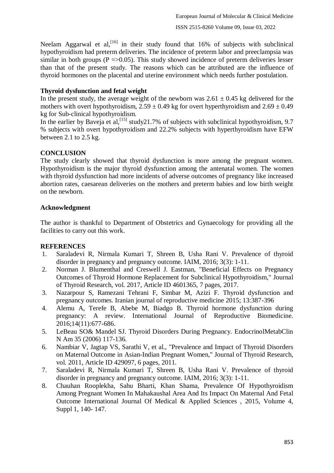Neelam Aggarwal et al,  $\begin{bmatrix} 1 & 6 \end{bmatrix}$  in their study found that 16% of subjects with subclinical hypothyroidism had preterm deliveries. The incidence of preterm labor and preeclampsia was similar in both groups ( $P = > 0.05$ ). This study showed incidence of preterm deliveries lesser than that of the present study. The reasons which can be attributed are the influence of thyroid hormones on the placental and uterine environment which needs further postulation.

# **Thyroid dysfunction and fetal weight**

In the present study, the average weight of the newborn was  $2.61 \pm 0.45$  kg delivered for the mothers with overt hypothyroidism,  $2.59 \pm 0.49$  kg for overt hyperthyroidism and  $2.69 \pm 0.49$ kg for Sub-clinical hypothyroidism.

In the earlier by Baveja et al,<sup>[15]</sup> study21.7% of subjects with subclinical hypothyroidism, 9.7 % subjects with overt hypothyroidism and 22.2% subjects with hyperthyroidism have EFW between 2.1 to 2.5 kg.

# **CONCLUSION**

The study clearly showed that thyroid dysfunction is more among the pregnant women. Hypothyroidism is the major thyroid dysfunction among the antenatal women. The women with thyroid dysfunction had more incidents of adverse outcomes of pregnancy like increased abortion rates, caesarean deliveries on the mothers and preterm babies and low birth weight on the newborn.

# **Acknowledgment**

The author is thankful to Department of Obstetrics and Gynaecology for providing all the facilities to carry out this work.

# **REFERENCES**

- 1. Saraladevi R, Nirmala Kumari T, Shreen B, Usha Rani V. Prevalence of thyroid disorder in pregnancy and pregnancy outcome. IAIM, 2016; 3(3): 1-11.
- 2. Norman J. Blumenthal and Creswell J. Eastman, "Beneficial Effects on Pregnancy Outcomes of Thyroid Hormone Replacement for Subclinical Hypothyroidism," Journal of Thyroid Research, vol. 2017, Article ID 4601365, 7 pages, 2017.
- 3. Nazarpour S, Ramezani Tehrani F, Simbar M, Azizi F. Thyroid dysfunction and pregnancy outcomes. Iranian journal of reproductive medicine 2015; 13:387-396
- 4. Alemu A, Terefe B, Abebe M, Biadgo B. Thyroid hormone dysfunction during pregnancy: A review. International Journal of Reproductive Biomedicine. 2016;14(11):677-686.
- 5. LeBeau SO& Mandel SJ. Thyroid Disorders During Pregnancy. EndocrinolMetabClin N Am 35 (2006) 117-136.
- 6. Nambiar V, Jagtap VS, Sarathi V, et al., "Prevalence and Impact of Thyroid Disorders on Maternal Outcome in Asian-Indian Pregnant Women," Journal of Thyroid Research, vol. 2011, Article ID 429097, 6 pages, 2011.
- 7. Saraladevi R, Nirmala Kumari T, Shreen B, Usha Rani V. Prevalence of thyroid disorder in pregnancy and pregnancy outcome. IAIM, 2016; 3(3): 1-11.
- 8. Chauhan Rooplekha, Sahu Bharti, Khan Shama, Prevalence Of Hypothyroidism Among Pregnant Women In Mahakaushal Area And Its Impact On Maternal And Fetal Outcome International Journal Of Medical & Applied Sciences , 2015, Volume 4, Suppl 1, 140- 147.